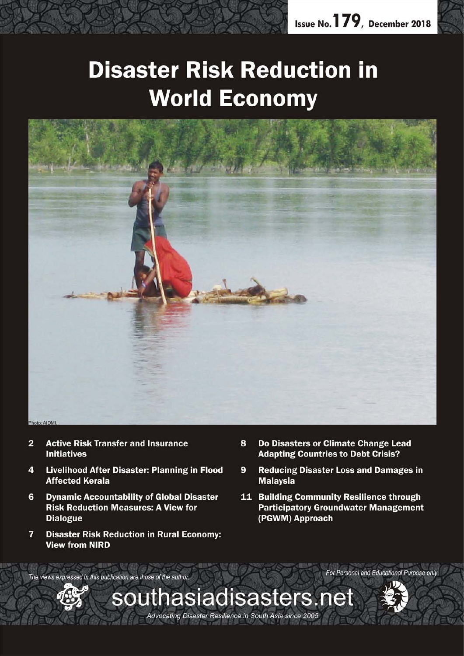# **Disaster Risk Reduction in World Economy**



southasiadisasters.net

Advocating Disaster Resilience in South Asia since 2005

- $\overline{2}$ **Active Risk Transfer and Insurance Initiatives**
- **Livelihood After Disaster: Planning in Flood** 4 **Affected Kerala**
- 6 **Dynamic Accountability of Global Disaster Risk Reduction Measures: A View for Dialogue**
- $\overline{7}$ **Disaster Risk Reduction in Rural Economy: View from NIRD**
- Do Disasters or Climate Change Lead 8 **Adapting Countries to Debt Crisis?**
- **Reducing Disaster Loss and Damages in** 9 **Malaysia**
- 11 Building Community Resilience through **Participatory Groundwater Management** (PGWM) Approach

The views expressed in this publication are those of the author.



For Personal and Educational Purpose only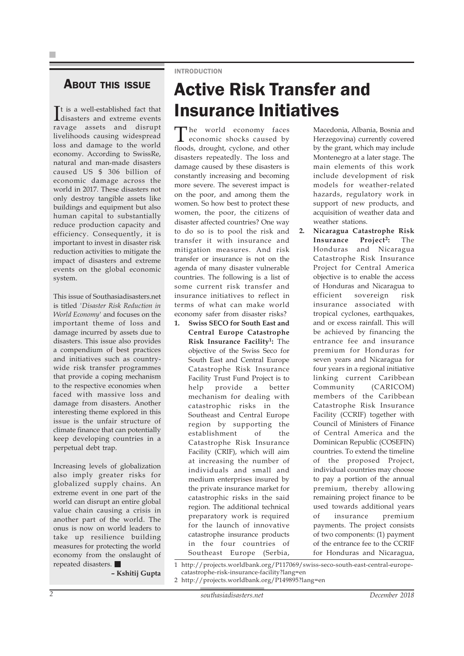### ABOUT THIS ISSUE

It is a well-established fact that<br>disasters and extreme events disasters and extreme events ravage assets and disrupt livelihoods causing widespread loss and damage to the world economy. According to SwissRe, natural and man-made disasters caused US \$ 306 billion of economic damage across the world in 2017. These disasters not only destroy tangible assets like buildings and equipment but also human capital to substantially reduce production capacity and efficiency. Consequently, it is important to invest in disaster risk reduction activities to mitigate the impact of disasters and extreme events on the global economic system.

This issue of Southasiadisasters.net is titled *'Disaster Risk Reduction in World Economy'* and focuses on the important theme of loss and damage incurred by assets due to disasters. This issue also provides a compendium of best practices and initiatives such as countrywide risk transfer programmes that provide a coping mechanism to the respective economies when faced with massive loss and damage from disasters. Another interesting theme explored in this issue is the unfair structure of climate finance that can potentially keep developing countries in a perpetual debt trap.

Increasing levels of globalization also imply greater risks for globalized supply chains. An extreme event in one part of the world can disrupt an entire global value chain causing a crisis in another part of the world. The onus is now on world leaders to take up resilience building measures for protecting the world economy from the onslaught of repeated disasters.

**– Kshitij Gupta**

### INTRODUCTION

## Active Risk Transfer and Insurance Initiatives

The world economy faces economic shocks caused by floods, drought, cyclone, and other disasters repeatedly. The loss and damage caused by these disasters is constantly increasing and becoming more severe. The severest impact is on the poor, and among them the women. So how best to protect these women, the poor, the citizens of disaster affected countries? One way to do so is to pool the risk and transfer it with insurance and mitigation measures. And risk transfer or insurance is not on the agenda of many disaster vulnerable countries. The following is a list of some current risk transfer and insurance initiatives to reflect in terms of what can make world economy safer from disaster risks?

**5wiss SECO for South East and Central Europe Catastrophe Risk Insurance Facility1:** The objective of the Swiss Seco for South East and Central Europe Catastrophe Risk Insurance Facility Trust Fund Project is to help provide a better mechanism for dealing with catastrophic risks in the Southeast and Central Europe region by supporting the establishment of the Catastrophe Risk Insurance Facility (CRIF), which will aim at increasing the number of individuals and small and medium enterprises insured by the private insurance market for catastrophic risks in the said region. The additional technical preparatory work is required for the launch of innovative catastrophe insurance products in the four countries of Southeast Europe (Serbia,

Macedonia, Albania, Bosnia and Herzegovina) currently covered by the grant, which may include Montenegro at a later stage. The main elements of this work include development of risk models for weather-related hazards, regulatory work in support of new products, and acquisition of weather data and weather stations.

- **2. Nicaragua Catastrophe Risk Insurance Project2:** The Honduras and Nicaragua Catastrophe Risk Insurance Project for Central America objective is to enable the access of Honduras and Nicaragua to efficient sovereign risk insurance associated with tropical cyclones, earthquakes, and or excess rainfall. This will be achieved by financing the entrance fee and insurance premium for Honduras for seven years and Nicaragua for four years in a regional initiative linking current Caribbean Community (CARICOM) members of the Caribbean Catastrophe Risk Insurance Facility (CCRIF) together with Council of Ministers of Finance of Central America and the Dominican Republic (COSEFIN) countries. To extend the timeline of the proposed Project, individual countries may choose to pay a portion of the annual premium, thereby allowing remaining project finance to be used towards additional years of insurance premium payments. The project consists of two components: (1) payment of the entrance fee to the CCRIF for Honduras and Nicaragua,
- 1 http://projects.worldbank.org/P117069/swiss-seco-south-east-central-europecatastrophe-risk-insurance-facility?lang=en
- 2 http://projects.worldbank.org/P149895?lang=en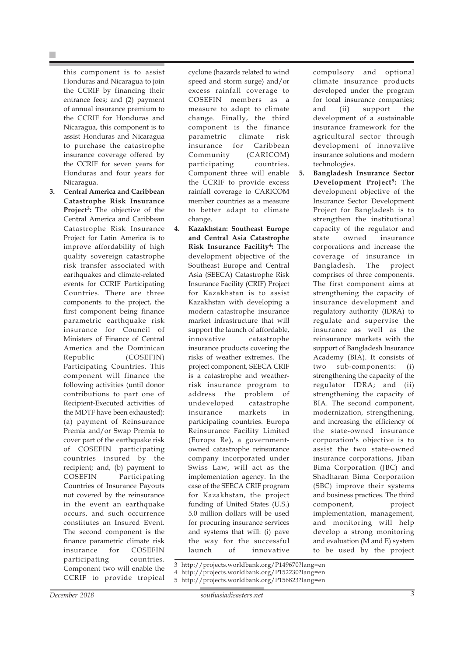this component is to assist Honduras and Nicaragua to join the CCRIF by financing their entrance fees; and (2) payment of annual insurance premium to the CCRIF for Honduras and Nicaragua, this component is to assist Honduras and Nicaragua to purchase the catastrophe insurance coverage offered by the CCRIF for seven years for Honduras and four years for Nicaragua.

**3. Central America and Caribbean Catastrophe Risk Insurance Project3:** The objective of the Central America and Caribbean Catastrophe Risk Insurance Project for Latin America is to improve affordability of high quality sovereign catastrophe risk transfer associated with earthquakes and climate-related events for CCRIF Participating Countries. There are three components to the project, the first component being finance parametric earthquake risk insurance for Council of Ministers of Finance of Central America and the Dominican Republic (COSEFIN) Participating Countries. This component will finance the following activities (until donor contributions to part one of Recipient-Executed activities of the MDTF have been exhausted): (a) payment of Reinsurance Premia and/or Swap Premia to cover part of the earthquake risk of COSEFIN participating countries insured by the recipient; and, (b) payment to COSEFIN Participating Countries of Insurance Payouts not covered by the reinsurance in the event an earthquake occurs, and such occurrence constitutes an Insured Event. The second component is the finance parametric climate risk insurance for COSEFIN participating countries. Component two will enable the CCRIF to provide tropical

cyclone (hazards related to wind speed and storm surge) and/or excess rainfall coverage to COSEFIN members as a measure to adapt to climate change. Finally, the third component is the finance parametric climate risk insurance for Caribbean Community (CARICOM) participating countries. Component three will enable the CCRIF to provide excess rainfall coverage to CARICOM member countries as a measure to better adapt to climate change.

**4. Kazakhstan: Southeast Europe and Central Asia Catastrophe Risk Insurance Facility4:** The development objective of the Southeast Europe and Central Asia (SEECA) Catastrophe Risk Insurance Facility (CRIF) Project for Kazakhstan is to assist Kazakhstan with developing a modern catastrophe insurance market infrastructure that will support the launch of affordable, innovative catastrophe insurance products covering the risks of weather extremes. The project component, SEECA CRIF is a catastrophe and weatherrisk insurance program to address the problem of undeveloped catastrophe insurance markets in participating countries. Europa Reinsurance Facility Limited (Europa Re), a governmentowned catastrophe reinsurance company incorporated under Swiss Law, will act as the implementation agency. In the case of the SEECA CRIF program for Kazakhstan, the project funding of United States (U.S.) 5.0 million dollars will be used for procuring insurance services and systems that will: (i) pave the way for the successful launch of innovative

compulsory and optional climate insurance products developed under the program for local insurance companies; and (ii) support the development of a sustainable insurance framework for the agricultural sector through development of innovative insurance solutions and modern technologies.

**5. Bangladesh Insurance Sector Development Project5:** The development objective of the Insurance Sector Development Project for Bangladesh is to strengthen the institutional capacity of the regulator and state owned insurance corporations and increase the coverage of insurance in Bangladesh. The project comprises of three components. The first component aims at strengthening the capacity of insurance development and regulatory authority (IDRA) to regulate and supervise the insurance as well as the reinsurance markets with the support of Bangladesh Insurance Academy (BIA). It consists of two sub-components: (i) strengthening the capacity of the regulator IDRA; and (ii) strengthening the capacity of BIA. The second component, modernization, strengthening, and increasing the efficiency of the state-owned insurance corporation's objective is to assist the two state-owned insurance corporations, Jiban Bima Corporation (JBC) and Shadharan Bima Corporation (SBC) improve their systems and business practices. The third component, project implementation, management, and monitoring will help develop a strong monitoring and evaluation (M and E) system to be used by the project

3 http://projects.worldbank.org/P149670?lang=en 4 http://projects.worldbank.org/P152230?lang=en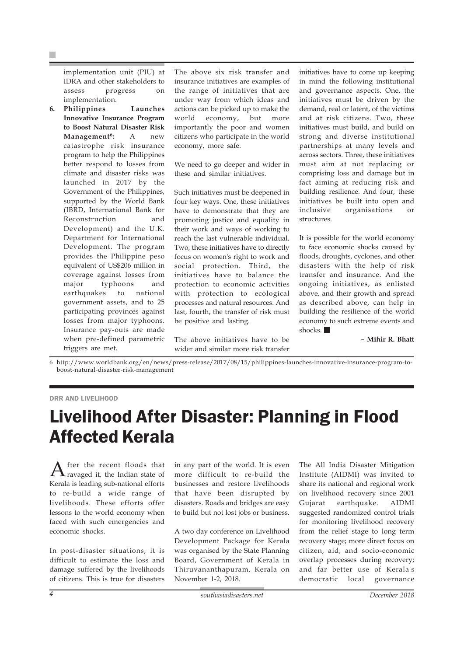implementation unit (PIU) at IDRA and other stakeholders to assess progress on implementation.

**6. Philippines Launches Innovative Insurance Program to Boost Natural Disaster Risk Management6:** A new catastrophe risk insurance program to help the Philippines better respond to losses from climate and disaster risks was launched in 2017 by the Government of the Philippines, supported by the World Bank (IBRD, International Bank for Reconstruction and Development) and the U.K. Department for International Development. The program provides the Philippine peso equivalent of US\$206 million in coverage against losses from major typhoons and earthquakes to national government assets, and to 25 participating provinces against losses from major typhoons. Insurance pay-outs are made when pre-defined parametric triggers are met.

The above six risk transfer and insurance initiatives are examples of the range of initiatives that are under way from which ideas and actions can be picked up to make the world economy, but more importantly the poor and women citizens who participate in the world economy, more safe.

We need to go deeper and wider in these and similar initiatives.

Such initiatives must be deepened in four key ways. One, these initiatives have to demonstrate that they are promoting justice and equality in their work and ways of working to reach the last vulnerable individual. Two, these initiatives have to directly focus on women's right to work and social protection. Third, the initiatives have to balance the protection to economic activities with protection to ecological processes and natural resources. And last, fourth, the transfer of risk must be positive and lasting.

The above initiatives have to be wider and similar more risk transfer

initiatives have to come up keeping in mind the following institutional and governance aspects. One, the initiatives must be driven by the demand, real or latent, of the victims and at risk citizens. Two, these initiatives must build, and build on strong and diverse institutional partnerships at many levels and across sectors. Three, these initiatives must aim at not replacing or comprising loss and damage but in fact aiming at reducing risk and building resilience. And four, these initiatives be built into open and inclusive organisations or structures.

It is possible for the world economy to face economic shocks caused by floods, droughts, cyclones, and other disasters with the help of risk transfer and insurance. And the ongoing initiatives, as enlisted above, and their growth and spread as described above, can help in building the resilience of the world economy to such extreme events and shocks.

**– Mihir R. Bhatt**

6 http://www.worldbank.org/en/news/press-release/2017/08/15/philippines-launches-innovative-insurance-program-toboost-natural-disaster-risk-management

### DRR AND LIVELIHOOD

### Livelihood After Disaster: Planning in Flood Affected Kerala

 $A$  fter the recent floods that  $A$  ravaged it, the Indian state of Kerala is leading sub-national efforts to re-build a wide range of livelihoods. These efforts offer lessons to the world economy when faced with such emergencies and economic shocks.

In post-disaster situations, it is difficult to estimate the loss and damage suffered by the livelihoods of citizens. This is true for disasters in any part of the world. It is even more difficult to re-build the businesses and restore livelihoods that have been disrupted by disasters. Roads and bridges are easy to build but not lost jobs or business.

A two day conference on Livelihood Development Package for Kerala was organised by the State Planning Board, Government of Kerala in Thiruvananthapuram, Kerala on November 1-2, 2018.

The All India Disaster Mitigation Institute (AIDMI) was invited to share its national and regional work on livelihood recovery since 2001 Gujarat earthquake. AIDMI suggested randomized control trials for monitoring livelihood recovery from the relief stage to long term recovery stage; more direct focus on citizen, aid, and socio-economic overlap processes during recovery; and far better use of Kerala's democratic local governance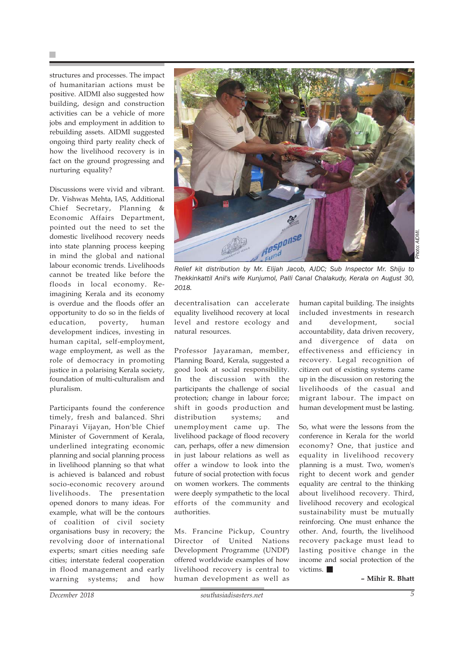structures and processes. The impact of humanitarian actions must be positive. AIDMI also suggested how building, design and construction activities can be a vehicle of more jobs and employment in addition to rebuilding assets. AIDMI suggested ongoing third party reality check of how the livelihood recovery is in fact on the ground progressing and nurturing equality?

Discussions were vivid and vibrant. Dr. Vishwas Mehta, IAS, Additional Chief Secretary, Planning & Economic Affairs Department, pointed out the need to set the domestic livelihood recovery needs into state planning process keeping in mind the global and national labour economic trends. Livelihoods cannot be treated like before the floods in local economy. Reimagining Kerala and its economy is overdue and the floods offer an opportunity to do so in the fields of education, poverty, human development indices, investing in human capital, self-employment, wage employment, as well as the role of democracy in promoting justice in a polarising Kerala society, foundation of multi-culturalism and pluralism.

Participants found the conference timely, fresh and balanced. Shri Pinarayi Vijayan, Hon'ble Chief Minister of Government of Kerala, underlined integrating economic planning and social planning process in livelihood planning so that what is achieved is balanced and robust socio-economic recovery around livelihoods. The presentation opened donors to many ideas. For example, what will be the contours of coalition of civil society organisations busy in recovery; the revolving door of international experts; smart cities needing safe cities; interstate federal cooperation in flood management and early warning systems; and how



*Relief kit distribution by Mr. Elijah Jacob, AJDC; Sub Inspector Mr. Shiju to Thekkinkattil Anil's wife Kunjumol, Palli Canal Chalakudy, Kerala on August 30, 2018.*

decentralisation can accelerate equality livelihood recovery at local level and restore ecology and natural resources.

Professor Jayaraman, member, Planning Board, Kerala, suggested a good look at social responsibility. In the discussion with the participants the challenge of social protection; change in labour force; shift in goods production and distribution systems; and unemployment came up. The livelihood package of flood recovery can, perhaps, offer a new dimension in just labour relations as well as offer a window to look into the future of social protection with focus on women workers. The comments were deeply sympathetic to the local efforts of the community and authorities.

Ms. Francine Pickup, Country Director of United Nations Development Programme (UNDP) offered worldwide examples of how livelihood recovery is central to human development as well as

human capital building. The insights included investments in research and development, social accountability, data driven recovery, and divergence of data on effectiveness and efficiency in recovery. Legal recognition of citizen out of existing systems came up in the discussion on restoring the livelihoods of the casual and migrant labour. The impact on human development must be lasting.

So, what were the lessons from the conference in Kerala for the world economy? One, that justice and equality in livelihood recovery planning is a must. Two, women's right to decent work and gender equality are central to the thinking about livelihood recovery. Third, livelihood recovery and ecological sustainability must be mutually reinforcing. One must enhance the other. And, fourth, the livelihood recovery package must lead to lasting positive change in the income and social protection of the victims.

**– Mihir R. Bhatt**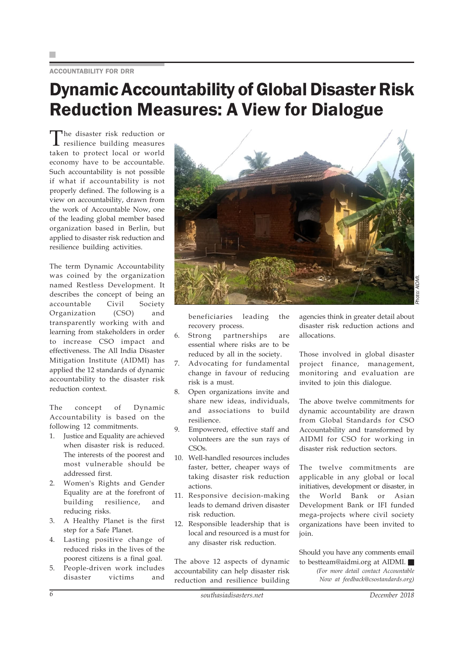ACCOUNTABILITY FOR DRR

### Dynamic Accountability of Global Disaster Risk Reduction Measures: A View for Dialogue

The disaster risk reduction or resilience building measures taken to protect local or world economy have to be accountable. Such accountability is not possible if what if accountability is not properly defined. The following is a view on accountability, drawn from the work of Accountable Now, one of the leading global member based organization based in Berlin, but applied to disaster risk reduction and resilience building activities.

The term Dynamic Accountability was coined by the organization named Restless Development. It describes the concept of being an accountable Civil Society Organization (CSO) and transparently working with and learning from stakeholders in order to increase CSO impact and effectiveness. The All India Disaster Mitigation Institute (AIDMI) has applied the 12 standards of dynamic accountability to the disaster risk reduction context.

The concept of Dynamic Accountability is based on the following 12 commitments.

- 1. Justice and Equality are achieved when disaster risk is reduced. The interests of the poorest and most vulnerable should be addressed first.
- 2. Women's Rights and Gender Equality are at the forefront of building resilience, and reducing risks.
- 3. A Healthy Planet is the first step for a Safe Planet.
- 4. Lasting positive change of reduced risks in the lives of the poorest citizens is a final goal.
- 5. People-driven work includes disaster victims and



beneficiaries leading the recovery process.

- 6. Strong partnerships are essential where risks are to be reduced by all in the society.
- 7. Advocating for fundamental change in favour of reducing risk is a must.
- 8. Open organizations invite and share new ideas, individuals, and associations to build resilience.
- 9. Empowered, effective staff and volunteers are the sun rays of CSOs.
- 10. Well-handled resources includes faster, better, cheaper ways of taking disaster risk reduction actions.
- 11. Responsive decision-making leads to demand driven disaster risk reduction.
- 12. Responsible leadership that is local and resourced is a must for any disaster risk reduction.

The above 12 aspects of dynamic accountability can help disaster risk reduction and resilience building

agencies think in greater detail about disaster risk reduction actions and allocations.

Those involved in global disaster project finance, management, monitoring and evaluation are invited to join this dialogue.

The above twelve commitments for dynamic accountability are drawn from Global Standards for CSO Accountability and transformed by AIDMI for CSO for working in disaster risk reduction sectors.

The twelve commitments are applicable in any global or local initiatives, development or disaster, in the World Bank or Asian Development Bank or IFI funded mega-projects where civil society organizations have been invited to join.

Should you have any comments email to bestteam@aidmi.org at AIDMI.  *(For more detail contact Accountable Now at feedback@csostandards.org)*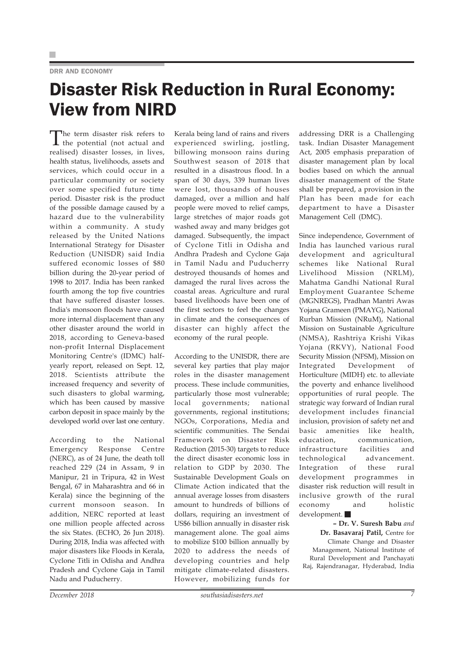### DRR AND ECONOMY

### Disaster Risk Reduction in Rural Economy: View from NIRD

The term disaster risk refers to the potential (not actual and realised) disaster losses, in lives, health status, livelihoods, assets and services, which could occur in a particular community or society over some specified future time period. Disaster risk is the product of the possible damage caused by a hazard due to the vulnerability within a community. A study released by the United Nations International Strategy for Disaster Reduction (UNISDR) said India suffered economic losses of \$80 billion during the 20-year period of 1998 to 2017. India has been ranked fourth among the top five countries that have suffered disaster losses. India's monsoon floods have caused more internal displacement than any other disaster around the world in 2018, according to Geneva-based non-profit Internal Displacement Monitoring Centre's (IDMC) halfyearly report, released on Sept. 12, 2018. Scientists attribute the increased frequency and severity of such disasters to global warming, which has been caused by massive carbon deposit in space mainly by the developed world over last one century.

According to the National Emergency Response Centre (NERC), as of 24 June, the death toll reached 229 (24 in Assam, 9 in Manipur, 21 in Tripura, 42 in West Bengal, 67 in Maharashtra and 66 in Kerala) since the beginning of the current monsoon season. In addition, NERC reported at least one million people affected across the six States. (ECHO, 26 Jun 2018). During 2018, India was affected with major disasters like Floods in Kerala, Cyclone Titli in Odisha and Andhra Pradesh and Cyclone Gaja in Tamil Nadu and Puducherry.

Kerala being land of rains and rivers experienced swirling, jostling, billowing monsoon rains during Southwest season of 2018 that resulted in a disastrous flood. In a span of 30 days, 339 human lives were lost, thousands of houses damaged, over a million and half people were moved to relief camps, large stretches of major roads got washed away and many bridges got damaged. Subsequently, the impact of Cyclone Titli in Odisha and Andhra Pradesh and Cyclone Gaja in Tamil Nadu and Puducherry destroyed thousands of homes and damaged the rural lives across the coastal areas. Agriculture and rural based livelihoods have been one of the first sectors to feel the changes in climate and the consequences of disaster can highly affect the economy of the rural people.

According to the UNISDR, there are several key parties that play major roles in the disaster management process. These include communities, particularly those most vulnerable; local governments; national governments, regional institutions; NGOs, Corporations, Media and scientific communities. The Sendai Framework on Disaster Risk Reduction (2015-30) targets to reduce the direct disaster economic loss in relation to GDP by 2030. The Sustainable Development Goals on Climate Action indicated that the annual average losses from disasters amount to hundreds of billions of dollars, requiring an investment of US\$6 billion annually in disaster risk management alone. The goal aims to mobilize \$100 billion annually by 2020 to address the needs of developing countries and help mitigate climate-related disasters. However, mobilizing funds for

addressing DRR is a Challenging task. Indian Disaster Management Act, 2005 emphasis preparation of disaster management plan by local bodies based on which the annual disaster management of the State shall be prepared, a provision in the Plan has been made for each department to have a Disaster Management Cell (DMC).

Since independence, Government of India has launched various rural development and agricultural schemes like National Rural Livelihood Mission (NRLM), Mahatma Gandhi National Rural Employment Guarantee Scheme (MGNREGS), Pradhan Mantri Awas Yojana Grameen (PMAYG), National Rurban Mission (NRuM), National Mission on Sustainable Agriculture (NMSA), Rashtriya Krishi Vikas Yojana (RKVY), National Food Security Mission (NFSM), Mission on Integrated Development of Horticulture (MIDH) etc. to alleviate the poverty and enhance livelihood opportunities of rural people. The strategic way forward of Indian rural development includes financial inclusion, provision of safety net and basic amenities like health, education, communication, infrastructure facilities and technological advancement. Integration of these rural development programmes in disaster risk reduction will result in inclusive growth of the rural economy and holistic development.

**– Dr. V. Suresh Babu** *and* **Dr. Basavaraj Patil,** Centre for Climate Change and Disaster Management, National Institute of Rural Development and Panchayati Raj, Rajendranagar, Hyderabad, India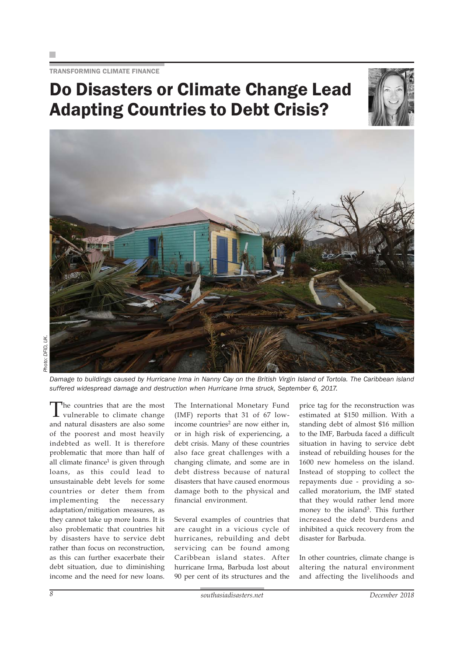TRANSFORMING CLIMATE FINANCE

### Do Disasters or Climate Change Lead Adapting Countries to Debt Crisis?





*Damage to buildings caused by Hurricane Irma in Nanny Cay on the British Virgin Island of Tortola. The Caribbean island suffered widespread damage and destruction when Hurricane Irma struck, September 6, 2017.*

The countries that are the most vulnerable to climate change and natural disasters are also some of the poorest and most heavily indebted as well. It is therefore problematic that more than half of all climate finance $1$  is given through loans, as this could lead to unsustainable debt levels for some countries or deter them from implementing the necessary adaptation/mitigation measures, as they cannot take up more loans. It is also problematic that countries hit by disasters have to service debt rather than focus on reconstruction, as this can further exacerbate their debt situation, due to diminishing income and the need for new loans.

The International Monetary Fund (IMF) reports that 31 of 67 lowincome countries<sup>2</sup> are now either in, or in high risk of experiencing, a debt crisis. Many of these countries also face great challenges with a changing climate, and some are in debt distress because of natural disasters that have caused enormous damage both to the physical and financial environment.

Several examples of countries that are caught in a vicious cycle of hurricanes, rebuilding and debt servicing can be found among Caribbean island states. After hurricane Irma, Barbuda lost about 90 per cent of its structures and the

price tag for the reconstruction was estimated at \$150 million. With a standing debt of almost \$16 million to the IMF, Barbuda faced a difficult situation in having to service debt instead of rebuilding houses for the 1600 new homeless on the island. Instead of stopping to collect the repayments due - providing a socalled moratorium, the IMF stated that they would rather lend more money to the island<sup>3</sup>. This further increased the debt burdens and inhibited a quick recovery from the disaster for Barbuda.

In other countries, climate change is altering the natural environment and affecting the livelihoods and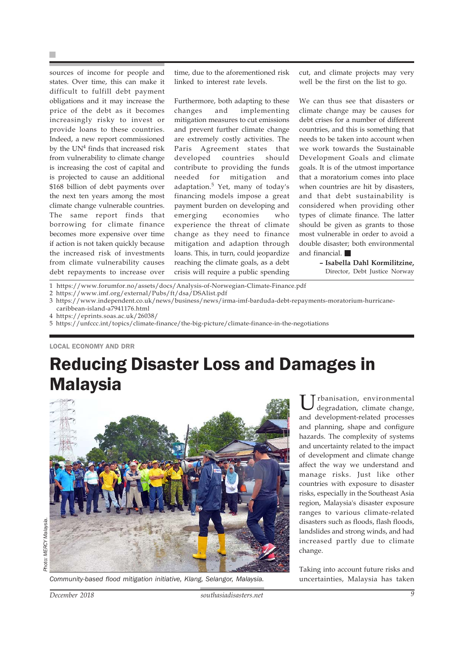sources of income for people and states. Over time, this can make it difficult to fulfill debt payment obligations and it may increase the price of the debt as it becomes increasingly risky to invest or provide loans to these countries. Indeed, a new report commissioned by the  $UN<sup>4</sup>$  finds that increased risk from vulnerability to climate change is increasing the cost of capital and is projected to cause an additional \$168 billion of debt payments over the next ten years among the most climate change vulnerable countries. The same report finds that borrowing for climate finance becomes more expensive over time if action is not taken quickly because the increased risk of investments from climate vulnerability causes debt repayments to increase over

time, due to the aforementioned risk linked to interest rate levels.

Furthermore, both adapting to these changes and implementing mitigation measures to cut emissions and prevent further climate change are extremely costly activities. The Paris Agreement states that developed countries should contribute to providing the funds needed for mitigation and adaptation.5 Yet, many of today's financing models impose a great payment burden on developing and emerging economies who experience the threat of climate change as they need to finance mitigation and adaption through loans. This, in turn, could jeopardize reaching the climate goals, as a debt crisis will require a public spending cut, and climate projects may very well be the first on the list to go.

We can thus see that disasters or climate change may be causes for debt crises for a number of different countries, and this is something that needs to be taken into account when we work towards the Sustainable Development Goals and climate goals. It is of the utmost importance that a moratorium comes into place when countries are hit by disasters, and that debt sustainability is considered when providing other types of climate finance. The latter should be given as grants to those most vulnerable in order to avoid a double disaster; both environmental and financial.

> **– Isabella Dahl Kormilitzine,** Director, Debt Justice Norway

- 1 https://www.forumfor.no/assets/docs/Analysis-of-Norwegian-Climate-Finance.pdf
- 2 https://www.imf.org/external/Pubs/ft/dsa/DSAlist.pdf

3 https://www.independent.co.uk/news/business/news/irma-imf-barduda-debt-repayments-moratorium-hurricane-

caribbean-island-a7941176.html 4 https://eprints.soas.ac.uk/26038/

LOCAL ECONOMY AND DRR

### Reducing Disaster Loss and Damages in **Malaysia**



*Community-based flood mitigation initiative, Klang, Selangor, Malaysia.*

U rbanisation, environmental<br>degradation, climate change, and development-related processes and planning, shape and configure hazards. The complexity of systems and uncertainty related to the impact of development and climate change affect the way we understand and manage risks. Just like other countries with exposure to disaster risks, especially in the Southeast Asia region, Malaysia's disaster exposure ranges to various climate-related disasters such as floods, flash floods, landslides and strong winds, and had increased partly due to climate change.

Taking into account future risks and uncertainties, Malaysia has taken

<sup>5</sup> https://unfccc.int/topics/climate-finance/the-big-picture/climate-finance-in-the-negotiations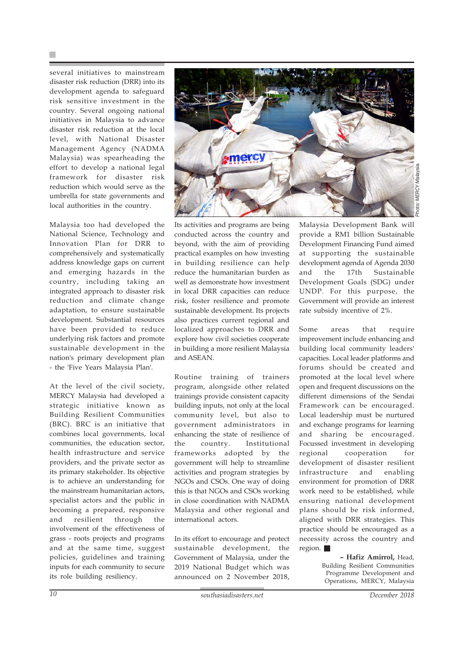several initiatives to mainstream disaster risk reduction (DRR) into its development agenda to safeguard risk sensitive investment in the country. Several ongoing national initiatives in Malaysia to advance disaster risk reduction at the local level, with National Disaster Management Agency (NADMA Malaysia) was spearheading the effort to develop a national legal framework for disaster risk reduction which would serve as the umbrella for state governments and local authorities in the country.

Malaysia too had developed the National Science, Technology and Innovation Plan for DRR to comprehensively and systematically address knowledge gaps on current and emerging hazards in the country, including taking an integrated approach to disaster risk reduction and climate change adaptation, to ensure sustainable development. Substantial resources have been provided to reduce underlying risk factors and promote sustainable development in the nation's primary development plan - the 'Five Years Malaysia Plan'.

At the level of the civil society, MERCY Malaysia had developed a strategic initiative known as Building Resilient Communities (BRC). BRC is an initiative that combines local governments, local communities, the education sector, health infrastructure and service providers, and the private sector as its primary stakeholder. Its objective is to achieve an understanding for the mainstream humanitarian actors, specialist actors and the public in becoming a prepared, responsive and resilient through the involvement of the effectiveness of grass - roots projects and programs and at the same time, suggest policies, guidelines and training inputs for each community to secure its role building resiliency.



Its activities and programs are being conducted across the country and beyond, with the aim of providing practical examples on how investing in building resilience can help reduce the humanitarian burden as well as demonstrate how investment in local DRR capacities can reduce risk, foster resilience and promote sustainable development. Its projects also practices current regional and localized approaches to DRR and explore how civil societies cooperate in building a more resilient Malaysia and ASEAN.

Routine training of trainers program, alongside other related trainings provide consistent capacity building inputs, not only at the local community level, but also to government administrators in enhancing the state of resilience of the country. Institutional frameworks adopted by the government will help to streamline activities and program strategies by NGOs and CSOs. One way of doing this is that NGOs and CSOs working in close coordination with NADMA Malaysia and other regional and international actors.

In its effort to encourage and protect sustainable development, the Government of Malaysia, under the 2019 National Budget which was announced on 2 November 2018,

Malaysia Development Bank will provide a RM1 billion Sustainable Development Financing Fund aimed at supporting the sustainable development agenda of Agenda 2030 and the 17th Sustainable Development Goals (SDG) under UNDP. For this purpose, the Government will provide an interest rate subsidy incentive of 2%.

Some areas that require improvement include enhancing and building local community leaders' capacities. Local leader platforms and forums should be created and promoted at the local level where open and frequent discussions on the different dimensions of the Sendai Framework can be encouraged. Local leadership must be nurtured and exchange programs for learning and sharing be encouraged. Focussed investment in developing regional cooperation for development of disaster resilient infrastructure and enabling environment for promotion of DRR work need to be established, while ensuring national development plans should be risk informed, aligned with DRR strategies. This practice should be encouraged as a necessity across the country and region.

> **– Hafiz Amirrol,** Head, Building Resilient Communities Programme Development and Operations, MERCY, Malaysia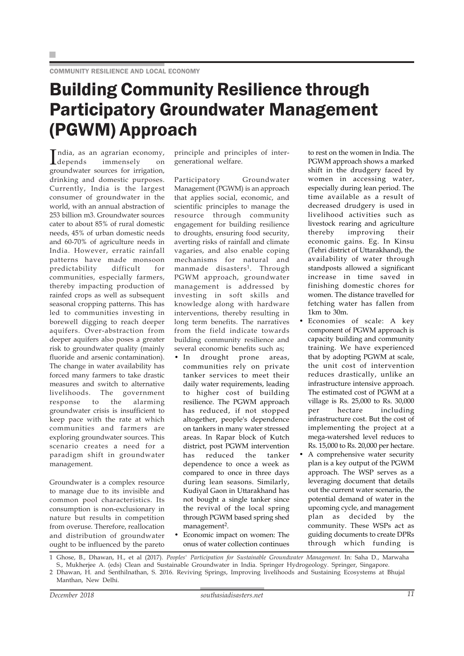### Building Community Resilience through Participatory Groundwater Management (PGWM) Approach

India, as an agrarian economy,<br>depends immensely on depends immensely on groundwater sources for irrigation, drinking and domestic purposes. Currently, India is the largest consumer of groundwater in the world, with an annual abstraction of 253 billion m3. Groundwater sources cater to about 85% of rural domestic needs, 45% of urban domestic needs and 60-70% of agriculture needs in India. However, erratic rainfall patterns have made monsoon predictability difficult for communities, especially farmers, thereby impacting production of rainfed crops as well as subsequent seasonal cropping patterns. This has led to communities investing in borewell digging to reach deeper aquifers. Over-abstraction from deeper aquifers also poses a greater risk to groundwater quality (mainly fluoride and arsenic contamination). The change in water availability has forced many farmers to take drastic measures and switch to alternative livelihoods. The government response to the alarming groundwater crisis is insufficient to keep pace with the rate at which communities and farmers are exploring groundwater sources. This scenario creates a need for a paradigm shift in groundwater management.

Groundwater is a complex resource to manage due to its invisible and common pool characteristics. Its consumption is non-exclusionary in nature but results in competition from overuse. Therefore, reallocation and distribution of groundwater ought to be influenced by the pareto principle and principles of intergenerational welfare.

Participatory Groundwater Management (PGWM) is an approach that applies social, economic, and scientific principles to manage the resource through community engagement for building resilience to droughts, ensuring food security, averting risks of rainfall and climate vagaries, and also enable coping mechanisms for natural and manmade disasters<sup>1</sup>. Through PGWM approach, groundwater management is addressed by investing in soft skills and knowledge along with hardware interventions, thereby resulting in long term benefits. The narratives from the field indicate towards building community resilience and several economic benefits such as;

- In drought prone areas, communities rely on private tanker services to meet their daily water requirements, leading to higher cost of building resilience. The PGWM approach has reduced, if not stopped altogether, people's dependence on tankers in many water stressed areas. In Rapar block of Kutch district, post PGWM intervention has reduced the tanker dependence to once a week as compared to once in three days during lean seasons. Similarly, Kudiyal Gaon in Uttarakhand has not bought a single tanker since the revival of the local spring through PGWM based spring shed management<sup>2</sup>.
- Economic impact on women: The onus of water collection continues

to rest on the women in India. The PGWM approach shows a marked shift in the drudgery faced by women in accessing water, especially during lean period. The time available as a result of decreased drudgery is used in livelihood activities such as livestock rearing and agriculture thereby improving their economic gains. Eg. In Kinsu (Tehri district of Uttarakhand), the availability of water through standposts allowed a significant increase in time saved in finishing domestic chores for women. The distance travelled for fetching water has fallen from 1km to 30m.

- Economies of scale: A key component of PGWM approach is capacity building and community training. We have experienced that by adopting PGWM at scale, the unit cost of intervention reduces drastically, unlike an infrastructure intensive approach. The estimated cost of PGWM at a village is Rs. 25,000 to Rs. 30,000 per hectare including infrastructure cost. But the cost of implementing the project at a mega-watershed level reduces to Rs. 15,000 to Rs. 20,000 per hectare.
- A comprehensive water security plan is a key output of the PGWM approach. The WSP serves as a leveraging document that details out the current water scenario, the potential demand of water in the upcoming cycle, and management plan as decided by the community. These WSPs act as guiding documents to create DPRs through which funding is

<sup>1</sup> Ghose, B., Dhawan, H., et al (2017). *Peoples' Participation for Sustainable Groundwater Management.* In: Saha D., Marwaha S., Mukherjee A. (eds) Clean and Sustainable Groundwater in India. Springer Hydrogeology. Springer, Singapore.

<sup>2</sup> Dhawan, H. and Senthilnathan, S. 2016. Reviving Springs, Improving livelihoods and Sustaining Ecosystems at Bhujal Manthan, New Delhi.